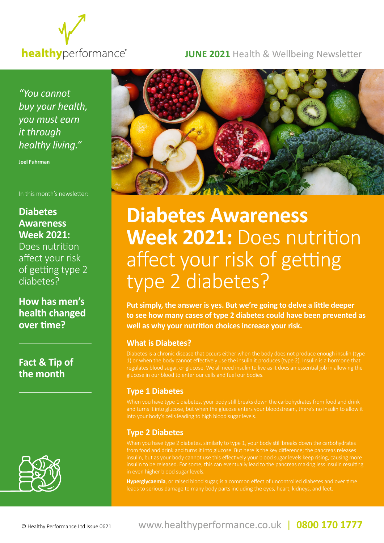

**JUNE 2021** Health & Wellbeing Newsletter

*"You cannot buy your health, you must earn it through healthy living."*

**Joel Fuhrman**

In this month's newsletter:

## **Diabetes Awareness Week 2021:**

Does nutrition affect your risk of getting type 2 diabetes?

**How has men's health changed over time?**

**Fact & Tip of the month**





# **Diabetes Awareness Week 2021:** Does nutrition affect your risk of getting type 2 diabetes?

**Put simply, the answer is yes. But we're going to delve a little deeper to see how many cases of type 2 diabetes could have been prevented as well as why your nutrition choices increase your risk.**

### **What is Diabetes?**

Diabetes is a chronic disease that occurs either when the body does not produce enough insulin (type 1) or when the body cannot effectively use the insulin it produces (type 2). Insulin is a hormone that regulates blood sugar, or glucose. We all need insulin to live as it does an essential job in allowing the glucose in our blood to enter our cells and fuel our bodies.

## **Type 1 Diabetes**

and turns it into glucose, but when the glucose enters your bloodstream, there's no insulin to allow it into your body's cells leading to high blood sugar levels.

## **Type 2 Diabetes**

from food and drink and turns it into glucose. But here is the key difference; the pancreas releases insulin, but as your body cannot use this effectively your blood sugar levels keep rising, causing more in even higher blood sugar levels.

**Hyperglycaemia**, or raised blood sugar, is a common effect of uncontrolled diabetes and over time leads to serious damage to many body parts including the eyes, heart, kidneys, and feet.

© Healthy Performance Ltd Issue 0621 www.healthyperformance.co.uk | **0800 170 1777**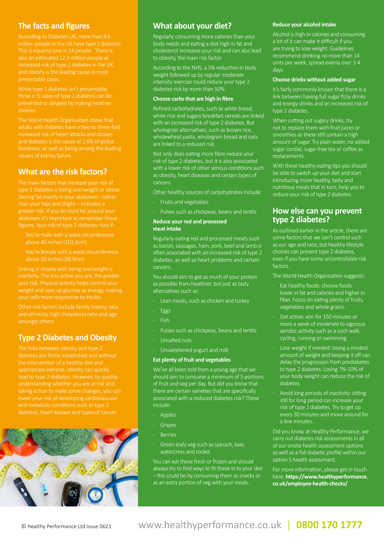## **The facts and figures**

According to Diabetes UK, more than 4.6 also an estimated 12.3 million people at and obesity is the leading cause in most preventable cases.

While type 1 diabetes isn't preventable, three in 5 cases of type 2 diabetes can be prevented or delayed by making heathier choices.

The World Health Organisation states that adults with diabetes have a two-to three-fold increased risk of heart attacks and strokes and diabetes is the cause of 2.6% of global blindness, as well as being among the leading causes of kidney failure.

## **What are the risk factors?**

The main factors that increase your risk of type 2 diabetes is being overweight or obese. Storing fat mainly in your abdomen - rather than your hips and thighs – indicates a greater risk. If you do store fat around your

- above 40 inches (101.6cm)
- You're female with a waist circumference above 35 inches (88.9cm)

Linking in closely with being overweight is inactivity. The less active you are, the greater

and ethnicity, high cholesterol ratio and age amongst others.

## **Type 2 Diabetes and Obesity**



## **What about your diet?**

Regularly consuming more calories than your body needs and eating a diet high in fat and cholesterol increases your risk and can also lead to obesity, the main risk factor.

According to the NHS, a 5% reduction in body weight followed up by regular moderate intensity exercise could reduce your type 2 diabetes risk by more than 50%.

#### **Choose carbs that are high in fibre**

Refined carbohydrates, such as white bread, white rice and sugary breakfast cereals are linked with an increased risk of type 2 diabetes. But wholegrain alternatives, such as brown rice, wholewheat pasta, wholegrain bread and oats are linked to a reduced risk.

Not only does eating more fibre reduce your risk of type 2 diabetes, but it is also associated with a lower risk of other serious conditions such as obesity, heart diseases and certain types of cancers.

Other healthy sources of carbohydrates include:

- Fruits and vegetables
- Pulses such as chickpeas, beans and lentils

#### **Reduce your red and processed meat intake**

Regularly eating red and processed meats such as bacon, sausages, ham, pork, beef and lamb is often associated with an increased risk of type 2 diabetes, as well as heart problems and certain cancers.

You should aim to get as much of your protein as possible from healthier, but just as tasty alternatives such as:

- Lean meats, such as chicken and turkey
- **Eggs**
- Fish.
- Pulses such as chickpeas, beans and lentils
- Unsalted nuts
- Unsweetened yogurt and milk

#### **Eat plenty of fruit and vegetables**

We've all been told from a young age that we should aim to consume a minimum of 5 portions of fruit and veg per day. But did you know that there are certain varieties that are specifically associated with a reduced diabetes risk? These include:

- **Apples**
- **Grapes**
- **Berries**
- Green leafy veg such as spinach, kale, watercress and rocket.

You can eat these fresh or frozen and should always try to find ways to fit these in to your diet – this could be by consuming them as snacks or as an extra portion of veg with your meals.

#### **Reduce your alcohol intake**

Alcohol is high in calories and consuming a lot of it can make it difficult if you are trying to lose weight. Guidelines recommend drinking no more than 14 units per week, spread evenly over 3-4 days.

#### **Choose drinks without added sugar**

It's fairly commonly known that there is a link between having full sugar fizzy drinks and energy drinks and an increased risk of type 2 diabetes.

When cutting out sugary drinks, try not to replace them with fruit juices or smoothies as these still contain a high amount of sugar. Try plain water, no-added sugar cordial, sugar-free tea or coffee as replacements.

With these healthy eating tips you should be able to switch up your diet and start introducing more healthy, tasty and nutritious meals that in turn, help you to reduce your risk of type 2 diabetes.

## **How else can you prevent type 2 diabetes?**

As outlined earlier in the article, there are some factors that we can't control such as our age and race, but healthy lifestyle choices can prevent type 2 diabetes, even if you have some uncontrollable risk factors.

The World Health Organisation suggests:

- Eat healthy foods: choose foods lower in fat and calories and higher in fiber. Focus on eating plenty of fruits, vegetables and whole grains.
- Get active: aim for 150 minutes or more a week of moderate to vigorous aerobic activity such as a such walk, cycling, running or swimming.
- Lose weight if needed: losing a modest amount of weight and keeping it off can delay the progression from prediabetes to type 2 diabetes. Losing 7%-10% of your body weight can reduce the risk of diabetes.
- Avoid long periods of inactivity: sitting still for long period can increase your risk of type 2 diabetes. Try to get up every 30 minutes and move around for a few minutes.

Did you know, at Healthy Performance, we carry out diabetes risk assessments in all of our onsite health assessment options as well as a full diabetic profile within our option 5 health assessment.

For more information, please get in touch here: **https://www.healthyperformance. co.uk/employee-health-checks/**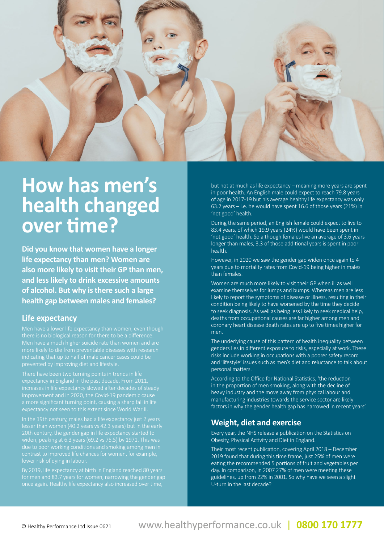

## **How has men's health changed over time?**

**Did you know that women have a longer life expectancy than men? Women are also more likely to visit their GP than men, and less likely to drink excessive amounts of alcohol. But why is there such a large health gap between males and females?** 

#### **Life expectancy**

Men have a lower life expectancy than women, even though Men have a much higher suicide rate than women and are indicating that up to half of male cancer cases could be

There have been two turning points in trends in life

20th century, the gender gap in life expectancy started to

By 2019, life expectancy at birth in England reached 80 years for men and 83.7 years for women, narrowing the gender gap

but not at much as life expectancy – meaning more years are spent in poor health. An English male could expect to reach 79.8 years of age in 2017-19 but his average healthy life expectancy was only 63.2 years – i.e. he would have spent 16.6 of those years (21%) in 'not good' health.

During the same period, an English female could expect to live to 83.4 years, of which 19.9 years (24%) would have been spent in 'not good' health. So although females live an average of 3.6 years longer than males, 3.3 of those additional years is spent in poor health.

However, in 2020 we saw the gender gap widen once again to 4 years due to mortality rates from Covid-19 being higher in males than females.

Women are much more likely to visit their GP when ill as well examine themselves for lumps and bumps. Whereas men are less likely to report the symptoms of disease or illness, resulting in their condition being likely to have worsened by the time they decide to seek diagnosis. As well as being less likely to seek medical help, deaths from occupational causes are far higher among men and coronary heart disease death rates are up to five times higher for men.

The underlying cause of this pattern of health inequality between genders lies in different exposure to risks, especially at work. These risks include working in occupations with a poorer safety record and 'lifestyle' issues such as men's diet and reluctance to talk about personal matters.

According to the Office for National Statistics, 'the reduction in the proportion of men smoking, along with the decline of heavy industry and the move away from physical labour and manufacturing industries towards the service sector are likely factors in why the gender health gap has narrowed in recent years'.

### **Weight, diet and exercise**

Every year, the NHS release a publication on the Statistics on Obesity, Physical Activity and Diet in England.

Their most recent publication, covering April 2018 – December 2019 found that during this time frame, just 25% of men were eating the recommended 5 portions of fruit and vegetables per day. In comparison, in 2007 27% of men were meeting these guidelines, up from 22% in 2001. So why have we seen a slight U-turn in the last decade?